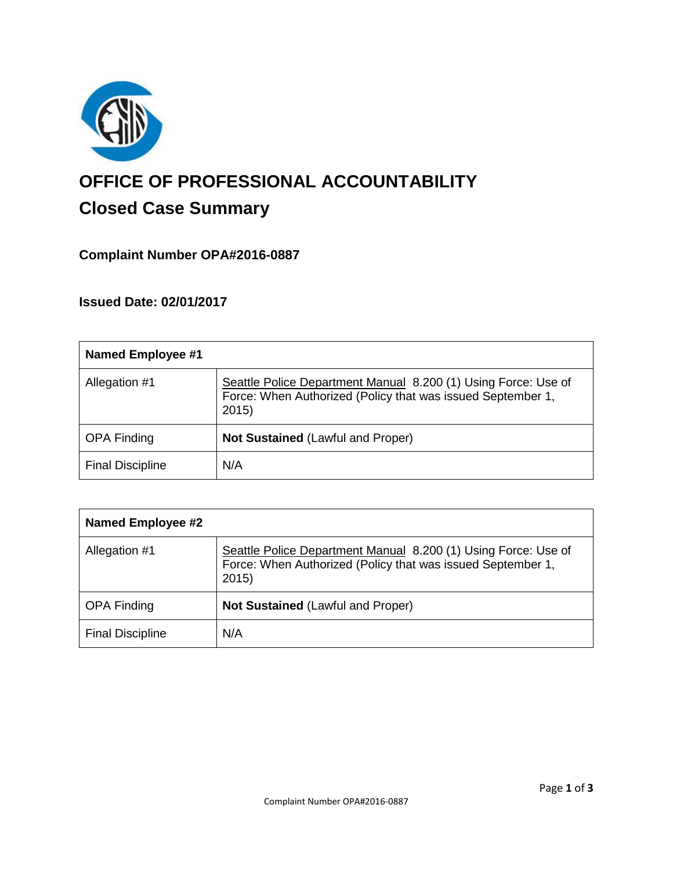

# **OFFICE OF PROFESSIONAL ACCOUNTABILITY Closed Case Summary**

# **Complaint Number OPA#2016-0887**

# **Issued Date: 02/01/2017**

| <b>Named Employee #1</b> |                                                                                                                                       |
|--------------------------|---------------------------------------------------------------------------------------------------------------------------------------|
| Allegation #1            | Seattle Police Department Manual 8.200 (1) Using Force: Use of<br>Force: When Authorized (Policy that was issued September 1,<br>2015 |
| <b>OPA Finding</b>       | Not Sustained (Lawful and Proper)                                                                                                     |
| <b>Final Discipline</b>  | N/A                                                                                                                                   |

| <b>Named Employee #2</b> |                                                                                                                                       |
|--------------------------|---------------------------------------------------------------------------------------------------------------------------------------|
| Allegation #1            | Seattle Police Department Manual 8.200 (1) Using Force: Use of<br>Force: When Authorized (Policy that was issued September 1,<br>2015 |
| <b>OPA Finding</b>       | <b>Not Sustained (Lawful and Proper)</b>                                                                                              |
| <b>Final Discipline</b>  | N/A                                                                                                                                   |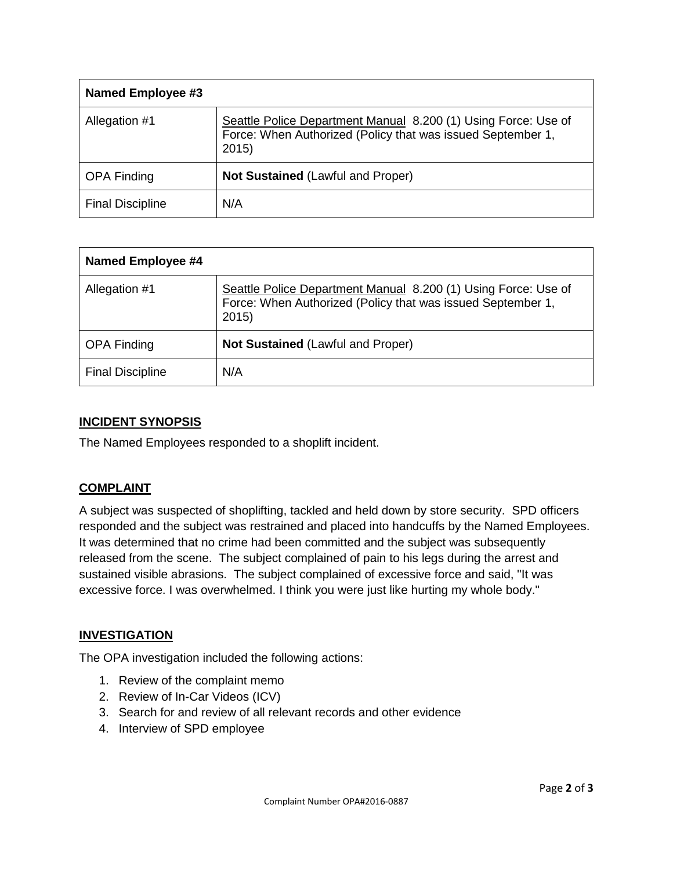| <b>Named Employee #3</b> |                                                                                                                                       |
|--------------------------|---------------------------------------------------------------------------------------------------------------------------------------|
| Allegation #1            | Seattle Police Department Manual 8.200 (1) Using Force: Use of<br>Force: When Authorized (Policy that was issued September 1,<br>2015 |
| <b>OPA Finding</b>       | <b>Not Sustained (Lawful and Proper)</b>                                                                                              |
| <b>Final Discipline</b>  | N/A                                                                                                                                   |

| <b>Named Employee #4</b> |                                                                                                                                       |
|--------------------------|---------------------------------------------------------------------------------------------------------------------------------------|
| Allegation #1            | Seattle Police Department Manual 8.200 (1) Using Force: Use of<br>Force: When Authorized (Policy that was issued September 1,<br>2015 |
| <b>OPA Finding</b>       | Not Sustained (Lawful and Proper)                                                                                                     |
| <b>Final Discipline</b>  | N/A                                                                                                                                   |

#### **INCIDENT SYNOPSIS**

The Named Employees responded to a shoplift incident.

#### **COMPLAINT**

A subject was suspected of shoplifting, tackled and held down by store security. SPD officers responded and the subject was restrained and placed into handcuffs by the Named Employees. It was determined that no crime had been committed and the subject was subsequently released from the scene. The subject complained of pain to his legs during the arrest and sustained visible abrasions. The subject complained of excessive force and said, "It was excessive force. I was overwhelmed. I think you were just like hurting my whole body."

#### **INVESTIGATION**

The OPA investigation included the following actions:

- 1. Review of the complaint memo
- 2. Review of In-Car Videos (ICV)
- 3. Search for and review of all relevant records and other evidence
- 4. Interview of SPD employee